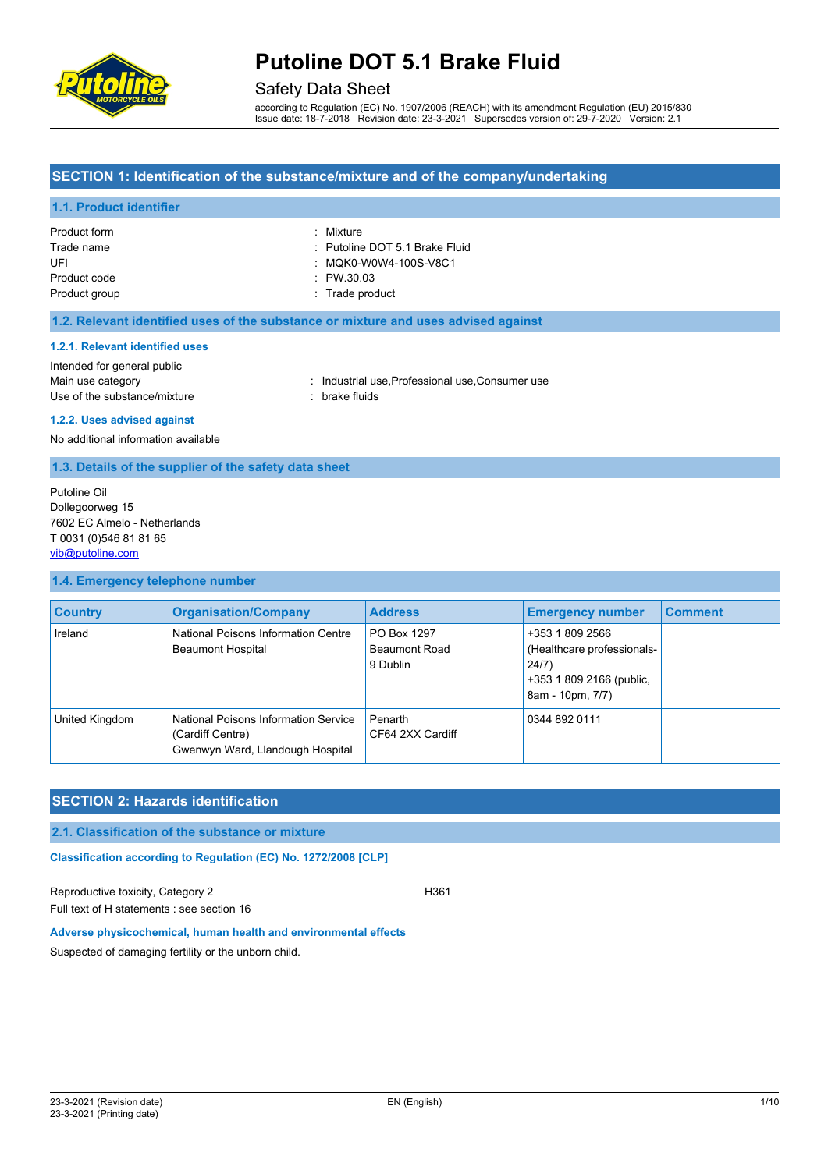

# Safety Data Sheet

according to Regulation (EC) No. 1907/2006 (REACH) with its amendment Regulation (EU) 2015/830 Issue date: 18-7-2018 Revision date: 23-3-2021 Supersedes version of: 29-7-2020 Version: 2.1

## **SECTION 1: Identification of the substance/mixture and of the company/undertaking**

## **1.1. Product identifier**

| Product form  | : Mixture                      |
|---------------|--------------------------------|
| Trade name    | : Putoline DOT 5.1 Brake Fluid |
| UFI           | : MQK0-W0W4-100S-V8C1          |
| Product code  | $\therefore$ PW 30.03          |
| Product group | : Trade product                |

### **1.2. Relevant identified uses of the substance or mixture and uses advised against**

#### **1.2.1. Relevant identified uses**

| Intended for general public  |
|------------------------------|
| Main use category            |
| Use of the substance/mixture |

: Industrial use, Professional use, Consumer use : brake fluids

#### **1.2.2. Uses advised against**

No additional information available

### **1.3. Details of the supplier of the safety data sheet**

Putoline Oil Dollegoorweg 15 7602 EC Almelo - Netherlands T 0031 (0)546 81 81 65 [vib@putoline.com](mailto:vib@putoline.com)

#### **1.4. Emergency telephone number**

| <b>Country</b> | <b>Organisation/Company</b>                                                                  | <b>Address</b>                                  | <b>Emergency number</b>                                                                                | <b>Comment</b> |
|----------------|----------------------------------------------------------------------------------------------|-------------------------------------------------|--------------------------------------------------------------------------------------------------------|----------------|
| Ireland        | National Poisons Information Centre<br><b>Beaumont Hospital</b>                              | PO Box 1297<br><b>Beaumont Road</b><br>9 Dublin | +353 1 809 2566<br>(Healthcare professionals-<br>24/7)<br>+353 1 809 2166 (public,<br>8am - 10pm, 7/7) |                |
| United Kingdom | National Poisons Information Service<br>(Cardiff Centre)<br>Gwenwyn Ward, Llandough Hospital | Penarth<br>CF64 2XX Cardiff                     | 0344 892 0111                                                                                          |                |

# **SECTION 2: Hazards identification**

### **2.1. Classification of the substance or mixture**

**Classification according to Regulation (EC) No. 1272/2008 [CLP]** 

Reproductive toxicity, Category 2 H361 Full text of H statements : see section 16

#### **Adverse physicochemical, human health and environmental effects**

Suspected of damaging fertility or the unborn child.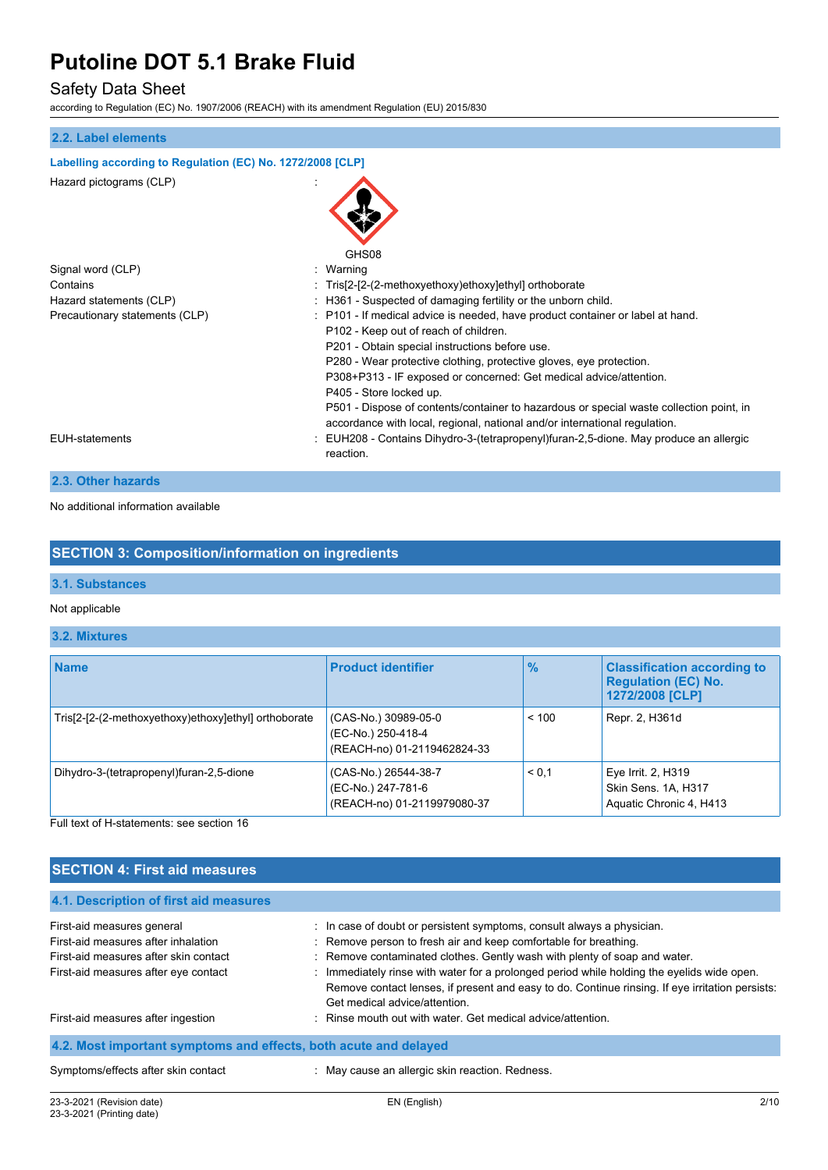# Safety Data Sheet

according to Regulation (EC) No. 1907/2006 (REACH) with its amendment Regulation (EU) 2015/830

# **2.2. Label elements Labelling according to Regulation (EC) No. 1272/2008 [CLP]** Hazard pictograms (CLP) : GHS<sub>08</sub> Signal word (CLP)  $\qquad \qquad$ : Warning Contains Contains Contains the Contains of the Contains of the Contains of the Contains of the Contains of the Contains of the Contains of the Contains of the Contains of the Contains of the Contains of the Contains of the Hazard statements (CLP)  $\qquad \qquad$ : H361 - Suspected of damaging fertility or the unborn child. Precautionary statements (CLP) : P101 - If medical advice is needed, have product container or label at hand. P102 - Keep out of reach of children. P201 - Obtain special instructions before use. P280 - Wear protective clothing, protective gloves, eye protection. P308+P313 - IF exposed or concerned: Get medical advice/attention. P405 - Store locked up. P501 - Dispose of contents/container to hazardous or special waste collection point, in accordance with local, regional, national and/or international regulation. EUH-statements : EUH208 - Contains Dihydro-3-(tetrapropenyl)furan-2,5-dione. May produce an allergic reaction.

# **2.3. Other hazards**

No additional information available

# **SECTION 3: Composition/information on ingredients**

#### **3.1. Substances**

#### Not applicable

## **3.2. Mixtures**

| <b>Name</b>                                          | <b>Product identifier</b>                                                 | $\frac{9}{6}$ | <b>Classification according to</b><br><b>Regulation (EC) No.</b><br>1272/2008 [CLP] |
|------------------------------------------------------|---------------------------------------------------------------------------|---------------|-------------------------------------------------------------------------------------|
| Tris[2-[2-(2-methoxyethoxy)ethoxy]ethyl] orthoborate | (CAS-No.) 30989-05-0<br>(EC-No.) 250-418-4<br>(REACH-no) 01-2119462824-33 | < 100         | Repr. 2, H361d                                                                      |
| Dihydro-3-(tetrapropenyl)furan-2,5-dione             | (CAS-No.) 26544-38-7<br>(EC-No.) 247-781-6<br>(REACH-no) 01-2119979080-37 | < 0.1         | Eye Irrit. 2, H319<br>Skin Sens. 1A, H317<br>Aquatic Chronic 4, H413                |

Full text of H-statements: see section 16

# **SECTION 4: First aid measures**

| 4.1. Description of first aid measures                           |                                                                                                 |  |  |  |
|------------------------------------------------------------------|-------------------------------------------------------------------------------------------------|--|--|--|
| First-aid measures general                                       | : In case of doubt or persistent symptoms, consult always a physician.                          |  |  |  |
| First-aid measures after inhalation                              | : Remove person to fresh air and keep comfortable for breathing.                                |  |  |  |
| First-aid measures after skin contact                            | : Remove contaminated clothes. Gently wash with plenty of soap and water.                       |  |  |  |
| First-aid measures after eye contact                             | : Immediately rinse with water for a prolonged period while holding the eyelids wide open.      |  |  |  |
|                                                                  | Remove contact lenses, if present and easy to do. Continue rinsing. If eye irritation persists: |  |  |  |
|                                                                  | Get medical advice/attention.                                                                   |  |  |  |
| First-aid measures after ingestion                               | : Rinse mouth out with water. Get medical advice/attention.                                     |  |  |  |
| 4.2. Most important symptoms and effects, both acute and delayed |                                                                                                 |  |  |  |
| Symptoms/effects after skin contact                              | : May cause an allergic skin reaction. Redness.                                                 |  |  |  |
|                                                                  |                                                                                                 |  |  |  |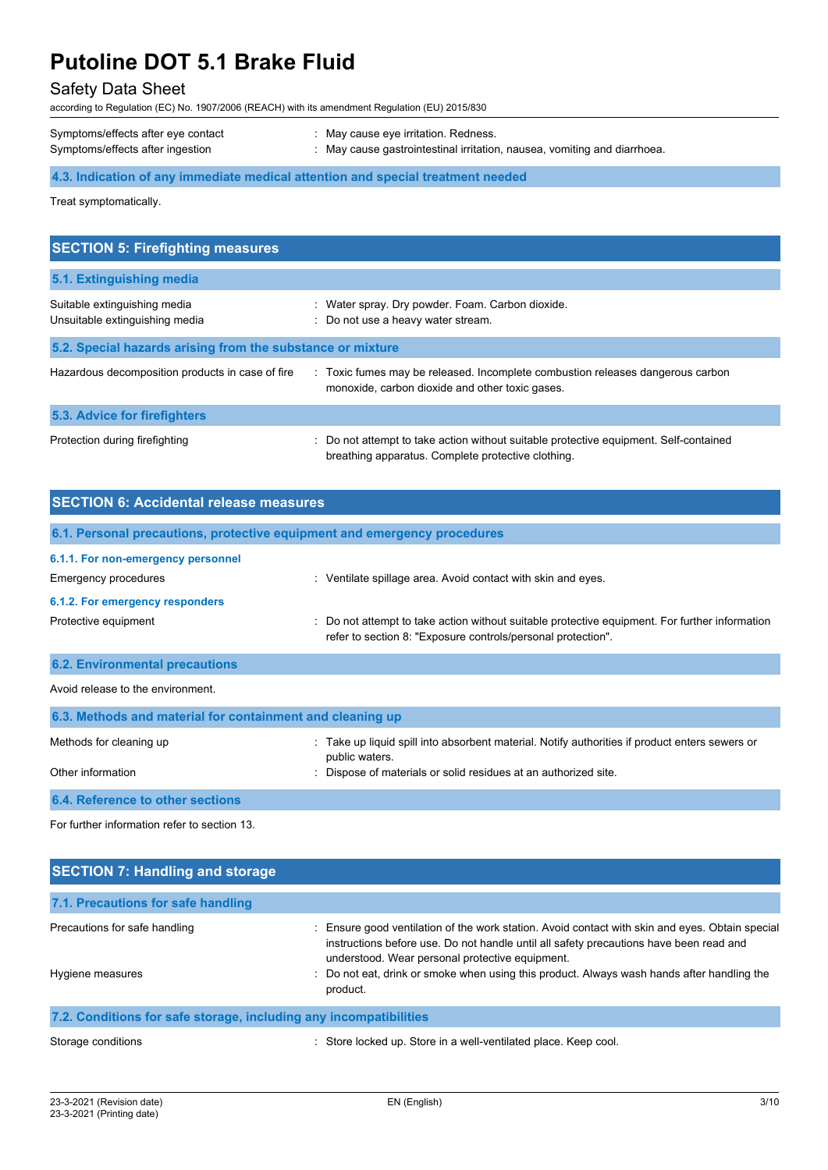# Safety Data Sheet

according to Regulation (EC) No. 1907/2006 (REACH) with its amendment Regulation (EU) 2015/830

| Symptoms/effects after eye contact | May cause eye irritation. Redness.                                       |
|------------------------------------|--------------------------------------------------------------------------|
| Symptoms/effects after ingestion   | : May cause gastrointestinal irritation, nausea, vomiting and diarrhoea. |

# **4.3. Indication of any immediate medical attention and special treatment needed**

Treat symptomatically.

| <b>SECTION 5: Firefighting measures</b>                        |                                                                                                                                             |  |  |  |  |
|----------------------------------------------------------------|---------------------------------------------------------------------------------------------------------------------------------------------|--|--|--|--|
| 5.1. Extinguishing media                                       |                                                                                                                                             |  |  |  |  |
| Suitable extinguishing media<br>Unsuitable extinguishing media | : Water spray. Dry powder. Foam. Carbon dioxide.<br>: Do not use a heavy water stream.                                                      |  |  |  |  |
|                                                                | 5.2. Special hazards arising from the substance or mixture                                                                                  |  |  |  |  |
| Hazardous decomposition products in case of fire               | : Toxic fumes may be released. Incomplete combustion releases dangerous carbon<br>monoxide, carbon dioxide and other toxic gases.           |  |  |  |  |
| <b>5.3. Advice for firefighters</b>                            |                                                                                                                                             |  |  |  |  |
| Protection during firefighting                                 | : Do not attempt to take action without suitable protective equipment. Self-contained<br>breathing apparatus. Complete protective clothing. |  |  |  |  |

| <b>SECTION 6: Accidental release measures</b>              |                                                                                                                                                                |
|------------------------------------------------------------|----------------------------------------------------------------------------------------------------------------------------------------------------------------|
|                                                            | 6.1. Personal precautions, protective equipment and emergency procedures                                                                                       |
| 6.1.1. For non-emergency personnel<br>Emergency procedures | : Ventilate spillage area. Avoid contact with skin and eyes.                                                                                                   |
| 6.1.2. For emergency responders                            |                                                                                                                                                                |
| Protective equipment                                       | : Do not attempt to take action without suitable protective equipment. For further information<br>refer to section 8: "Exposure controls/personal protection". |
| <b>6.2. Environmental precautions</b>                      |                                                                                                                                                                |

Avoid release to the environment.

| 6.3. Methods and material for containment and cleaning up |                                                                                                                  |  |  |  |  |
|-----------------------------------------------------------|------------------------------------------------------------------------------------------------------------------|--|--|--|--|
| Methods for cleaning up                                   | : Take up liquid spill into absorbent material. Notify authorities if product enters sewers or<br>public waters. |  |  |  |  |
| Other information                                         | : Dispose of materials or solid residues at an authorized site.                                                  |  |  |  |  |
| 6.4. Reference to other sections                          |                                                                                                                  |  |  |  |  |

For further information refer to section 13.

| <b>SECTION 7: Handling and storage</b>                            |                                                                                                                                                                                                                                              |  |  |
|-------------------------------------------------------------------|----------------------------------------------------------------------------------------------------------------------------------------------------------------------------------------------------------------------------------------------|--|--|
| 7.1. Precautions for safe handling                                |                                                                                                                                                                                                                                              |  |  |
| Precautions for safe handling                                     | : Ensure good ventilation of the work station. Avoid contact with skin and eyes. Obtain special<br>instructions before use. Do not handle until all safety precautions have been read and<br>understood. Wear personal protective equipment. |  |  |
| Hygiene measures                                                  | : Do not eat, drink or smoke when using this product. Always wash hands after handling the<br>product.                                                                                                                                       |  |  |
| 7.2. Conditions for safe storage, including any incompatibilities |                                                                                                                                                                                                                                              |  |  |

Storage conditions : Store locked up. Store in a well-ventilated place. Keep cool.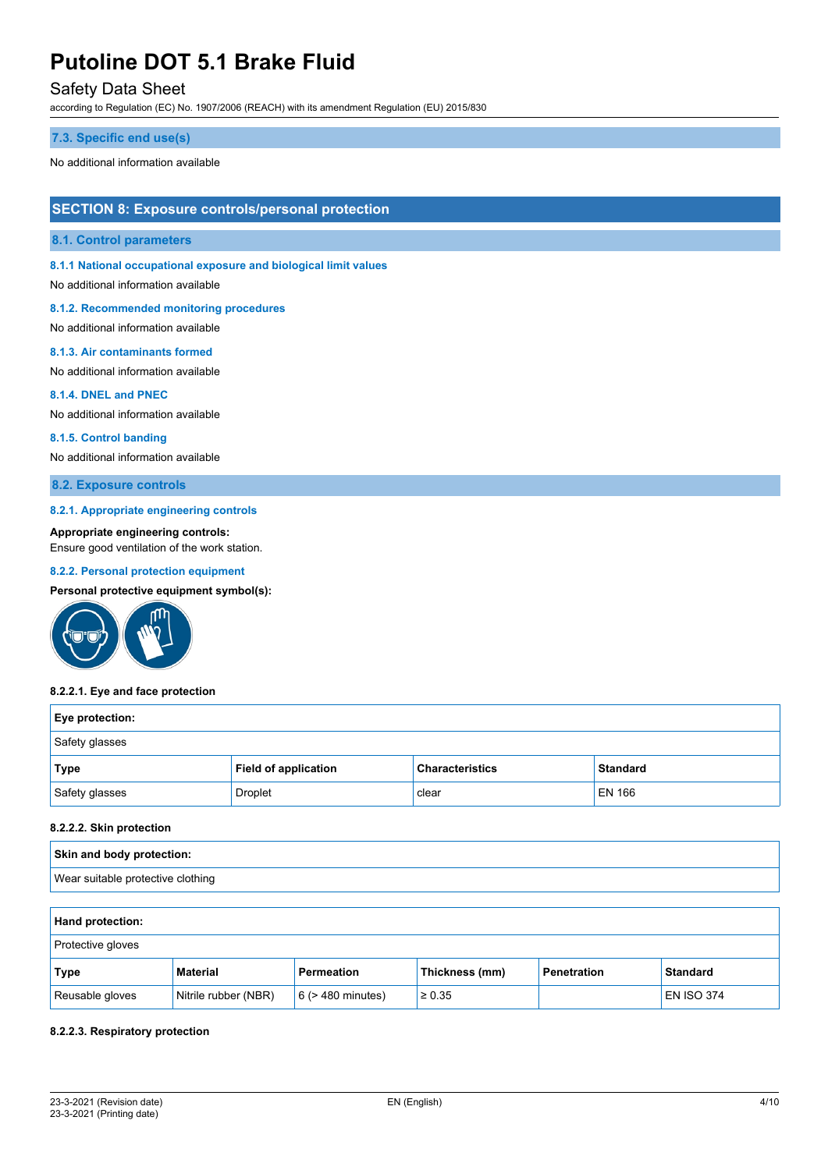# Safety Data Sheet

according to Regulation (EC) No. 1907/2006 (REACH) with its amendment Regulation (EU) 2015/830

#### **7.3. Specific end use(s)**

No additional information available

# **SECTION 8: Exposure controls/personal protection**

#### **8.1. Control parameters**

**8.1.1 National occupational exposure and biological limit values**

No additional information available

#### **8.1.2. Recommended monitoring procedures**

No additional information available

#### **8.1.3. Air contaminants formed**

No additional information available

#### **8.1.4. DNEL and PNEC**

No additional information available

#### **8.1.5. Control banding**

No additional information available

## **8.2. Exposure controls**

#### **8.2.1. Appropriate engineering controls**

**Appropriate engineering controls:**

Ensure good ventilation of the work station.

## **8.2.2. Personal protection equipment**

**Personal protective equipment symbol(s):**



#### **8.2.2.1. Eye and face protection**

| <b>Eye protection:</b> |                      |                        |                 |  |  |
|------------------------|----------------------|------------------------|-----------------|--|--|
| Safety glasses         |                      |                        |                 |  |  |
| <b>Type</b>            | Field of application | <b>Characteristics</b> | <b>Standard</b> |  |  |
| Safety glasses         | Droplet              | clear                  | <b>EN 166</b>   |  |  |

### **8.2.2.2. Skin protection**

| Skin and body protection:         |  |
|-----------------------------------|--|
| Wear suitable protective clothing |  |

### **Hand protection:**

| <b>Protective gloves</b> |                      |                        |                |             |                   |
|--------------------------|----------------------|------------------------|----------------|-------------|-------------------|
| Type                     | Material             | <b>Permeation</b>      | Thickness (mm) | Penetration | <b>Standard</b>   |
| Reusable gloves          | Nitrile rubber (NBR) | $6$ ( $>$ 480 minutes) | $\ge 0.35$     |             | <b>EN ISO 374</b> |

#### **8.2.2.3. Respiratory protection**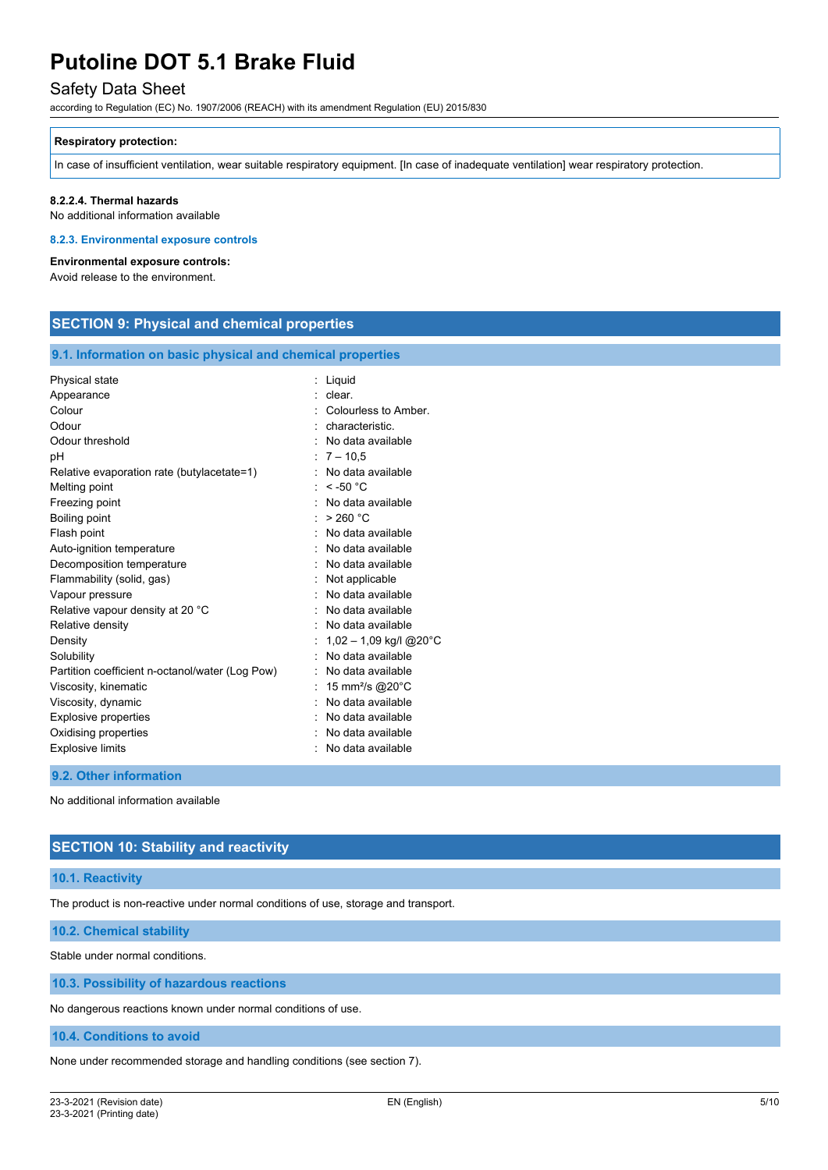# Safety Data Sheet

according to Regulation (EC) No. 1907/2006 (REACH) with its amendment Regulation (EU) 2015/830

#### **Respiratory protection:**

In case of insufficient ventilation, wear suitable respiratory equipment. [In case of inadequate ventilation] wear respiratory protection.

### **8.2.2.4. Thermal hazards**

No additional information available

### **8.2.3. Environmental exposure controls**

**Environmental exposure controls:**

Avoid release to the environment.

# **SECTION 9: Physical and chemical properties**

#### **9.1. Information on basic physical and chemical properties**

| Physical state                                  | Liquid                      |
|-------------------------------------------------|-----------------------------|
| Appearance                                      | clear.                      |
| Colour                                          | Colourless to Amber.        |
| Odour                                           | characteristic              |
| Odour threshold                                 | No data available           |
| рH                                              | $:7 - 10.5$                 |
| Relative evaporation rate (butylacetate=1)      | No data available           |
| Melting point                                   | $\le$ -50 °C                |
| Freezing point                                  | No data available           |
| Boiling point                                   | > 260 °C                    |
| Flash point                                     | No data available           |
| Auto-ignition temperature                       | No data available           |
| Decomposition temperature                       | No data available           |
| Flammability (solid, gas)                       | Not applicable              |
| Vapour pressure                                 | No data available           |
| Relative vapour density at 20 °C                | No data available           |
| Relative density                                | No data available           |
| Density                                         | $1,02 - 1,09$ kg/l @20°C    |
| Solubility                                      | No data available           |
| Partition coefficient n-octanol/water (Log Pow) | No data available           |
| Viscosity, kinematic                            | 15 mm <sup>2</sup> /s @20°C |
| Viscosity, dynamic                              | No data available           |
| Explosive properties                            | No data available           |
| Oxidising properties                            | No data available           |
| <b>Explosive limits</b>                         | No data available           |
|                                                 |                             |

#### **9.2. Other information**

No additional information available

# **SECTION 10: Stability and reactivity**

#### **10.1. Reactivity**

The product is non-reactive under normal conditions of use, storage and transport.

#### **10.2. Chemical stability**

Stable under normal conditions.

**10.3. Possibility of hazardous reactions**

No dangerous reactions known under normal conditions of use.

**10.4. Conditions to avoid**

None under recommended storage and handling conditions (see section 7).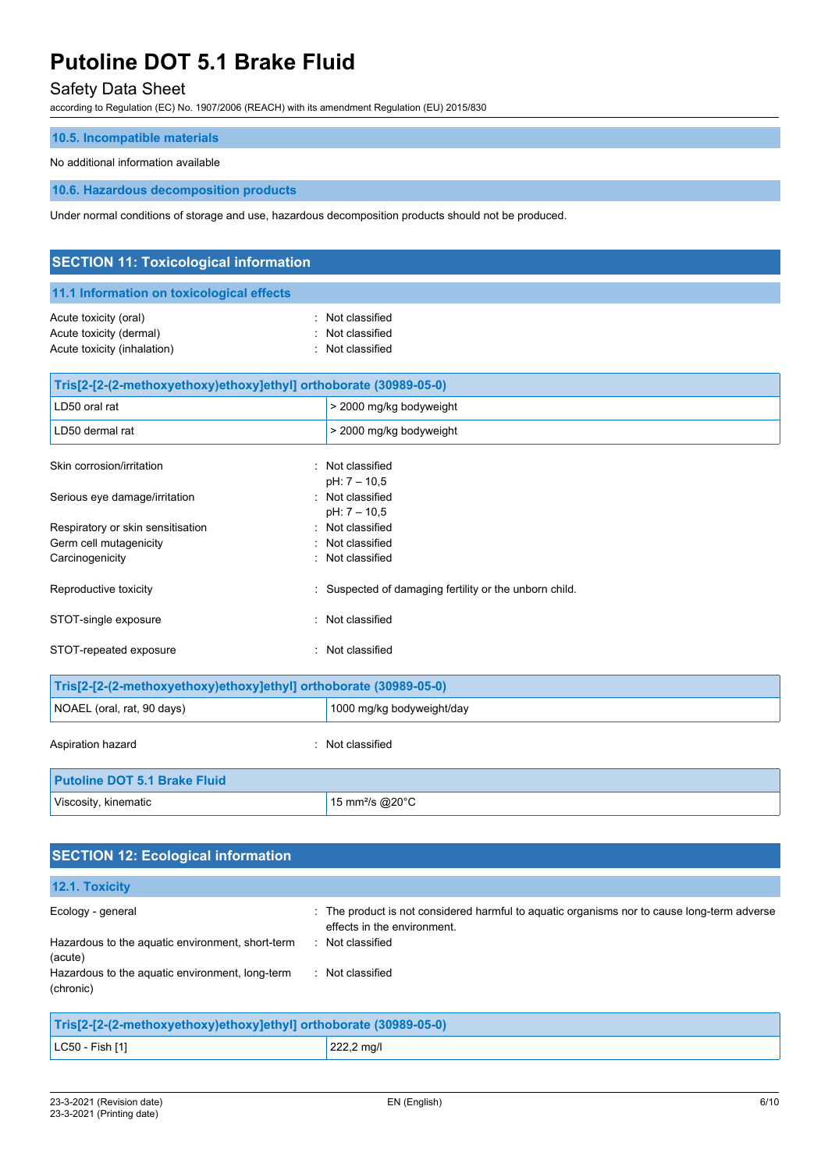# Safety Data Sheet

according to Regulation (EC) No. 1907/2006 (REACH) with its amendment Regulation (EU) 2015/830

### **10.5. Incompatible materials**

### No additional information available

**10.6. Hazardous decomposition products**

Under normal conditions of storage and use, hazardous decomposition products should not be produced.

| <b>SECTION 11: Toxicological information</b>                                    |                                                      |  |  |  |
|---------------------------------------------------------------------------------|------------------------------------------------------|--|--|--|
| 11.1 Information on toxicological effects                                       |                                                      |  |  |  |
| Acute toxicity (oral)<br>Acute toxicity (dermal)<br>Acute toxicity (inhalation) | : Not classified<br>Not classified<br>Not classified |  |  |  |
| Tris[2-[2-(2-methoxyethoxy)ethoxy]ethyl] orthoborate (30989-05-0)               |                                                      |  |  |  |
| LD50 oral rat                                                                   | > 2000 mg/kg bodyweight                              |  |  |  |
| LD50 dermal rat                                                                 | > 2000 mg/kg bodyweight                              |  |  |  |
| Skin corrosion/irritation                                                       | : Not classified<br>pH: 7 - 10,5                     |  |  |  |
| Serious eye damage/irritation                                                   | : Not classified<br>$pH: 7 - 10,5$                   |  |  |  |
| Respiratory or skin sensitisation                                               | : Not classified                                     |  |  |  |
| Germ cell mutagenicity                                                          | : Not classified                                     |  |  |  |
| Carcinogenicity                                                                 | Not classified                                       |  |  |  |
| Reproductive toxicity                                                           | Suspected of damaging fertility or the unborn child. |  |  |  |
| STOT-single exposure<br>t.                                                      | Not classified                                       |  |  |  |
| STOT-repeated exposure<br>۰.                                                    | Not classified                                       |  |  |  |

| Tris[2-[2-(2-methoxyethoxy)ethoxy]ethyl] orthoborate (30989-05-0) |                           |  |  |
|-------------------------------------------------------------------|---------------------------|--|--|
| NOAEL (oral, rat, 90 days)                                        | 1000 mg/kg bodyweight/day |  |  |
| Aspiration hazard                                                 | : Not classified          |  |  |
| <b>Putoline DOT 5.1 Brake Fluid</b>                               |                           |  |  |
| Viscosity, kinematic<br>15 mm <sup>2</sup> /s @20 $^{\circ}$ C    |                           |  |  |

| <b>SECTION 12: Ecological information</b>                         |                                                                                                                            |  |
|-------------------------------------------------------------------|----------------------------------------------------------------------------------------------------------------------------|--|
| 12.1. Toxicity                                                    |                                                                                                                            |  |
| Ecology - general                                                 | : The product is not considered harmful to aquatic organisms nor to cause long-term adverse<br>effects in the environment. |  |
| Hazardous to the aquatic environment, short-term<br>(acute)       | : Not classified                                                                                                           |  |
| Hazardous to the aquatic environment, long-term<br>(chronic)      | : Not classified                                                                                                           |  |
| Tris[2-[2-(2-methoxyethoxy)ethoxy]ethyl] orthoborate (30989-05-0) |                                                                                                                            |  |

| $LC50 - Fish [1]$ |  |
|-------------------|--|
|-------------------|--|

222,2 mg/l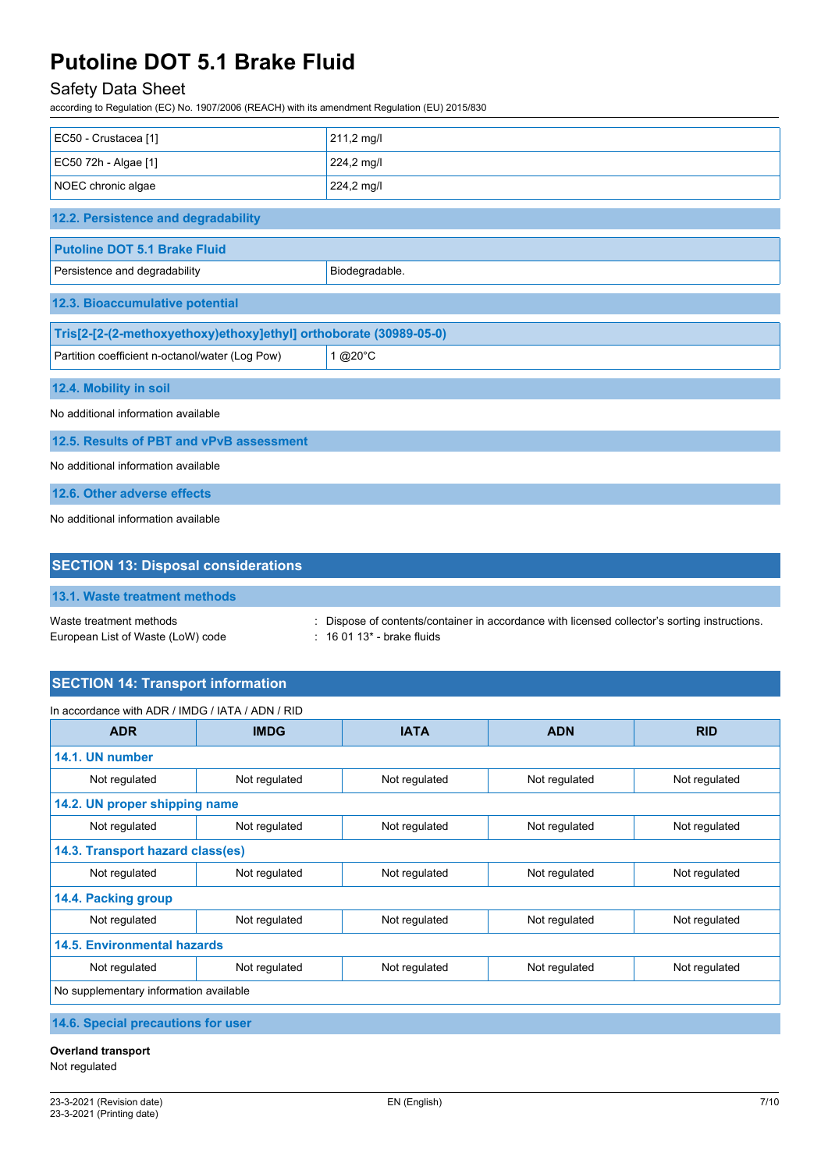# Safety Data Sheet

according to Regulation (EC) No. 1907/2006 (REACH) with its amendment Regulation (EU) 2015/830

| EC50 - Crustacea [1]                                              | 211,2 mg/l     |  |  |  |
|-------------------------------------------------------------------|----------------|--|--|--|
| EC50 72h - Algae [1]                                              | 224,2 mg/l     |  |  |  |
| NOEC chronic algae                                                | 224,2 mg/l     |  |  |  |
| 12.2. Persistence and degradability                               |                |  |  |  |
| <b>Putoline DOT 5.1 Brake Fluid</b>                               |                |  |  |  |
| Persistence and degradability                                     | Biodegradable. |  |  |  |
| 12.3. Bioaccumulative potential                                   |                |  |  |  |
| Tris[2-[2-(2-methoxyethoxy)ethoxy]ethyl] orthoborate (30989-05-0) |                |  |  |  |
| Partition coefficient n-octanol/water (Log Pow)                   | 1 @20°C        |  |  |  |
| 12.4. Mobility in soil                                            |                |  |  |  |
| No additional information available                               |                |  |  |  |
| 12.5. Results of PBT and vPvB assessment                          |                |  |  |  |
| No additional information available                               |                |  |  |  |
| 12.6. Other adverse effects                                       |                |  |  |  |
| No additional information available                               |                |  |  |  |

| <b>SECTION 13: Disposal considerations</b>                   |                                                                                                                              |  |  |
|--------------------------------------------------------------|------------------------------------------------------------------------------------------------------------------------------|--|--|
| 13.1. Waste treatment methods                                |                                                                                                                              |  |  |
| Waste treatment methods<br>European List of Waste (LoW) code | : Dispose of contents/container in accordance with licensed collector's sorting instructions.<br>$: 160113$ * - brake fluids |  |  |

# **SECTION 14: Transport information**

| In accordance with ADR / IMDG / IATA / ADN / RID |               |               |               |               |  |
|--------------------------------------------------|---------------|---------------|---------------|---------------|--|
| <b>ADR</b>                                       | <b>IMDG</b>   | <b>IATA</b>   | <b>ADN</b>    | <b>RID</b>    |  |
| 14.1. UN number                                  |               |               |               |               |  |
| Not regulated                                    | Not regulated | Not regulated | Not regulated | Not regulated |  |
| 14.2. UN proper shipping name                    |               |               |               |               |  |
| Not regulated                                    | Not regulated | Not regulated | Not regulated | Not regulated |  |
| 14.3. Transport hazard class(es)                 |               |               |               |               |  |
| Not regulated                                    | Not regulated | Not regulated | Not regulated | Not regulated |  |
| 14.4. Packing group                              |               |               |               |               |  |
| Not regulated                                    | Not regulated | Not regulated | Not regulated | Not regulated |  |
| <b>14.5. Environmental hazards</b>               |               |               |               |               |  |
| Not regulated                                    | Not regulated | Not regulated | Not regulated | Not regulated |  |
| No supplementary information available           |               |               |               |               |  |
|                                                  |               |               |               |               |  |

**14.6. Special precautions for user**

# **Overland transport**

Not regulated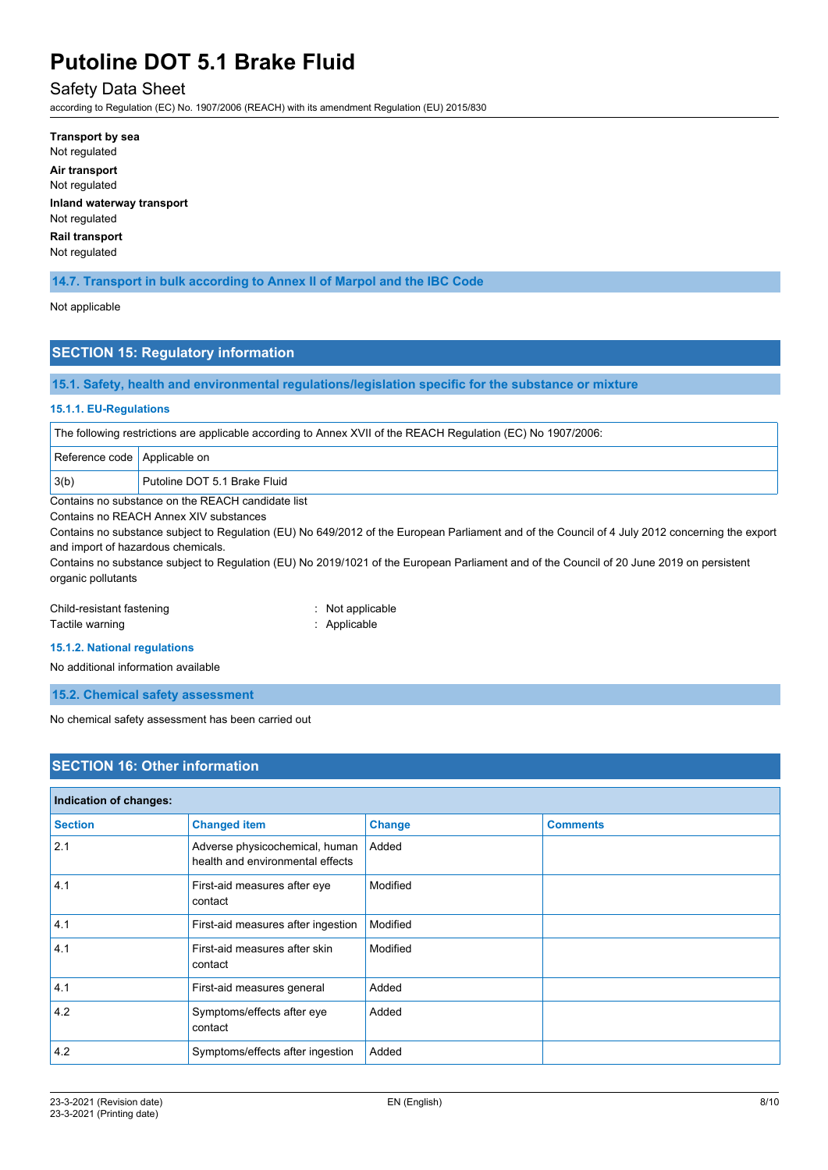# Safety Data Sheet

according to Regulation (EC) No. 1907/2006 (REACH) with its amendment Regulation (EU) 2015/830

**Transport by sea** Not regulated **Air transport** Not regulated **Inland waterway transport** Not regulated **Rail transport** Not regulated

### **14.7. Transport in bulk according to Annex II of Marpol and the IBC Code**

#### Not applicable

## **SECTION 15: Regulatory information**

**15.1. Safety, health and environmental regulations/legislation specific for the substance or mixture**

#### **15.1.1. EU-Regulations**

The following restrictions are applicable according to Annex XVII of the REACH Regulation (EC) No 1907/2006:

|                                                   | Reference code   Applicable on |                              |
|---------------------------------------------------|--------------------------------|------------------------------|
|                                                   | $\vert 3(b)$                   | Putoline DOT 5.1 Brake Fluid |
| Contains no substance on the REACH candidate list |                                |                              |

Contains no REACH Annex XIV substances

Contains no substance subject to Regulation (EU) No 649/2012 of the European Parliament and of the Council of 4 July 2012 concerning the export and import of hazardous chemicals.

Contains no substance subject to Regulation (EU) No 2019/1021 of the European Parliament and of the Council of 20 June 2019 on persistent organic pollutants

#### Child-resistant fastening : Not applicable

Tactile warning **in the case of the California** Contraction of the Applicable

**15.1.2. National regulations**

No additional information available

**15.2. Chemical safety assessment**

No chemical safety assessment has been carried out

# **SECTION 16: Other information**

| Indication of changes: |                                                                    |               |                 |  |
|------------------------|--------------------------------------------------------------------|---------------|-----------------|--|
| <b>Section</b>         | <b>Changed item</b>                                                | <b>Change</b> | <b>Comments</b> |  |
| 2.1                    | Adverse physicochemical, human<br>health and environmental effects | Added         |                 |  |
| 4.1                    | First-aid measures after eye<br>contact                            | Modified      |                 |  |
| 4.1                    | First-aid measures after ingestion                                 | Modified      |                 |  |
| 4.1                    | First-aid measures after skin<br>contact                           | Modified      |                 |  |
| 4.1                    | First-aid measures general                                         | Added         |                 |  |
| 4.2                    | Symptoms/effects after eye<br>contact                              | Added         |                 |  |
| 4.2                    | Symptoms/effects after ingestion                                   | Added         |                 |  |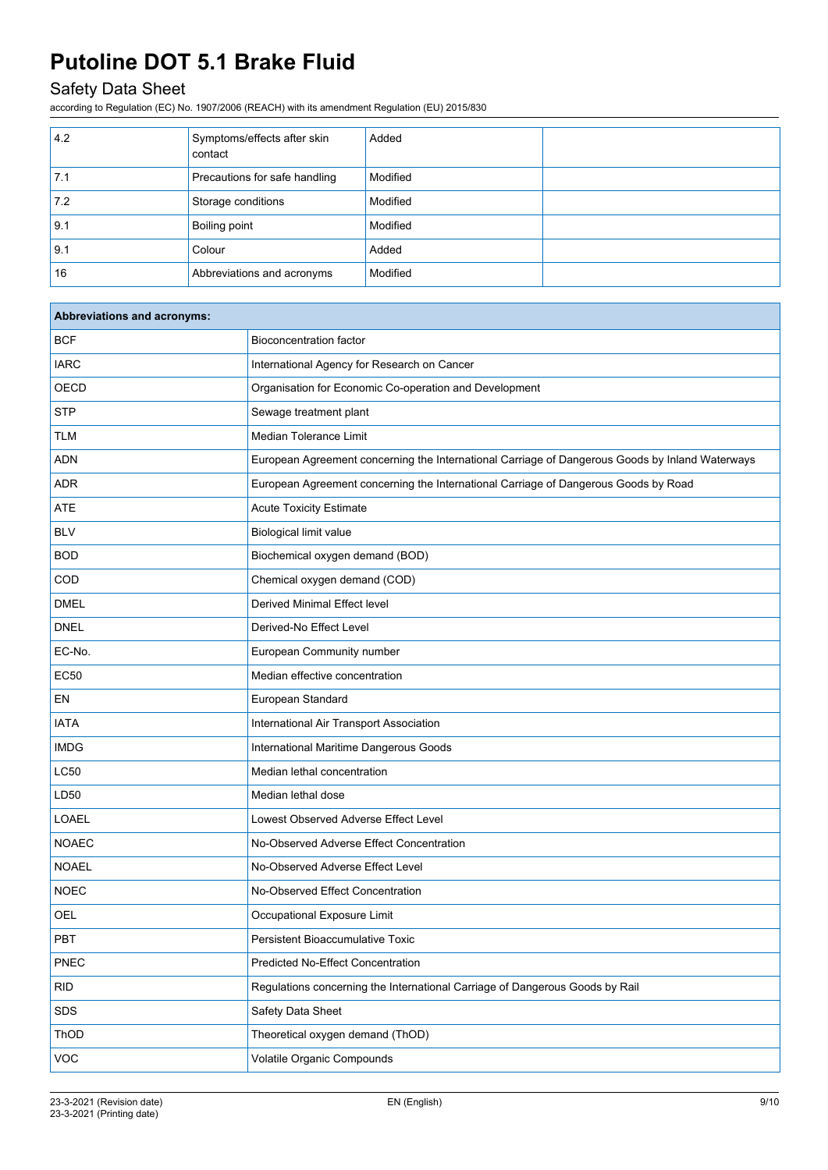# Safety Data Sheet

according to Regulation (EC) No. 1907/2006 (REACH) with its amendment Regulation (EU) 2015/830

| 4.2 | Symptoms/effects after skin<br>contact | Added    |  |
|-----|----------------------------------------|----------|--|
| 7.1 | Precautions for safe handling          | Modified |  |
| 7.2 | Storage conditions                     | Modified |  |
| 9.1 | <b>Boiling point</b>                   | Modified |  |
| 9.1 | Colour                                 | Added    |  |
| 16  | Abbreviations and acronyms             | Modified |  |

| <b>Abbreviations and acronyms:</b> |                                                                                                 |
|------------------------------------|-------------------------------------------------------------------------------------------------|
| <b>BCF</b>                         | <b>Bioconcentration factor</b>                                                                  |
| <b>IARC</b>                        | International Agency for Research on Cancer                                                     |
| OECD                               | Organisation for Economic Co-operation and Development                                          |
| <b>STP</b>                         | Sewage treatment plant                                                                          |
| <b>TLM</b>                         | Median Tolerance Limit                                                                          |
| <b>ADN</b>                         | European Agreement concerning the International Carriage of Dangerous Goods by Inland Waterways |
| ADR                                | European Agreement concerning the International Carriage of Dangerous Goods by Road             |
| ATE                                | <b>Acute Toxicity Estimate</b>                                                                  |
| <b>BLV</b>                         | <b>Biological limit value</b>                                                                   |
| <b>BOD</b>                         | Biochemical oxygen demand (BOD)                                                                 |
| COD                                | Chemical oxygen demand (COD)                                                                    |
| <b>DMEL</b>                        | Derived Minimal Effect level                                                                    |
| <b>DNEL</b>                        | Derived-No Effect Level                                                                         |
| EC-No.                             | European Community number                                                                       |
| <b>EC50</b>                        | Median effective concentration                                                                  |
| EN                                 | European Standard                                                                               |
| <b>IATA</b>                        | International Air Transport Association                                                         |
| <b>IMDG</b>                        | International Maritime Dangerous Goods                                                          |
| <b>LC50</b>                        | Median lethal concentration                                                                     |
| LD50                               | Median lethal dose                                                                              |
| LOAEL                              | Lowest Observed Adverse Effect Level                                                            |
| <b>NOAEC</b>                       | No-Observed Adverse Effect Concentration                                                        |
| <b>NOAEL</b>                       | No-Observed Adverse Effect Level                                                                |
| <b>NOEC</b>                        | No-Observed Effect Concentration                                                                |
| <b>OEL</b>                         | Occupational Exposure Limit                                                                     |
| PBT                                | Persistent Bioaccumulative Toxic                                                                |
| PNEC                               | <b>Predicted No-Effect Concentration</b>                                                        |
| <b>RID</b>                         | Regulations concerning the International Carriage of Dangerous Goods by Rail                    |
| SDS                                | Safety Data Sheet                                                                               |
| ThOD                               | Theoretical oxygen demand (ThOD)                                                                |
| VOC                                | Volatile Organic Compounds                                                                      |